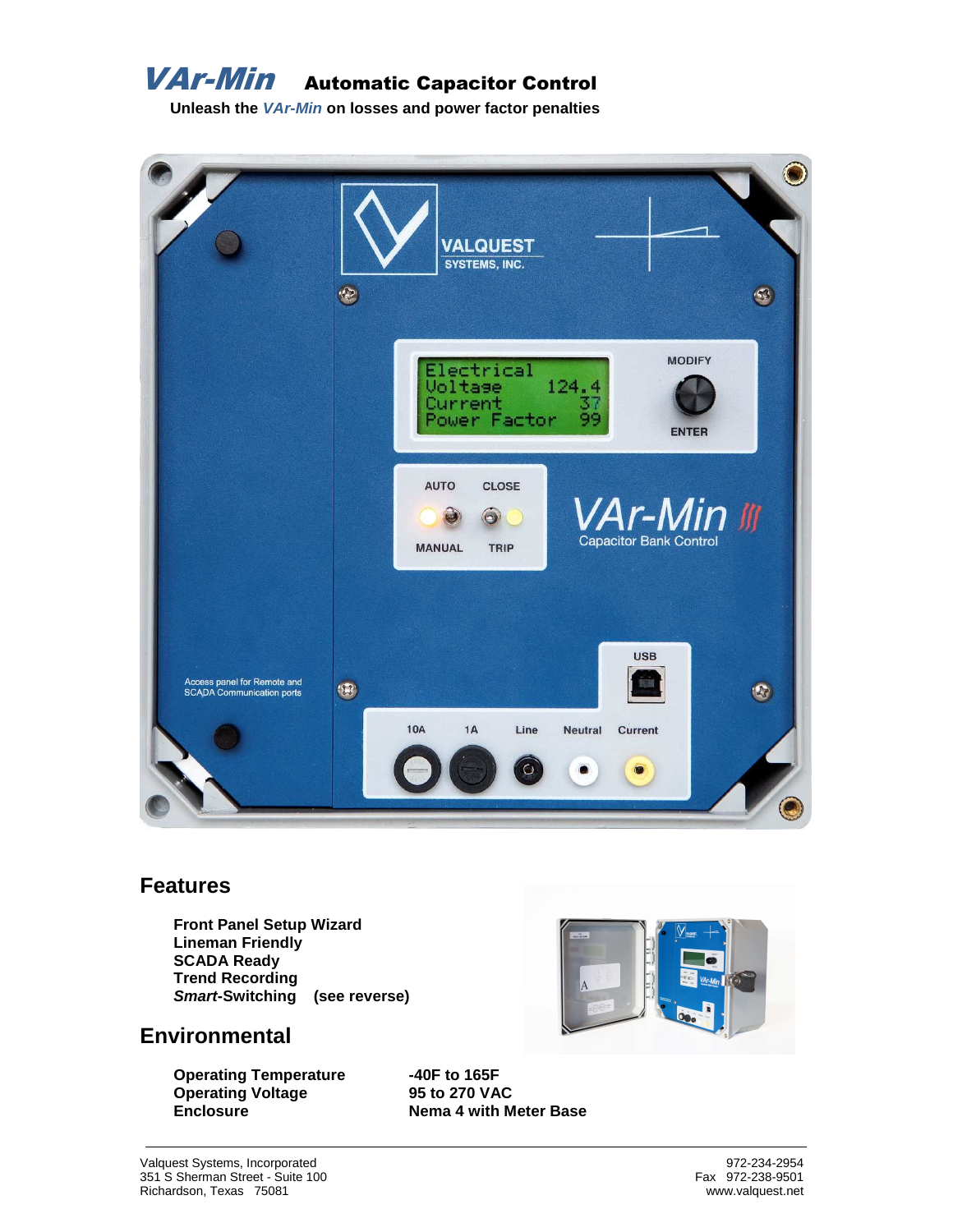

**VAr-Min** Automatic Capacitor Control

**Unleash the VAr-Min on losses and power factor penalties** 



#### **Features**

 **Front Panel Setup Wizard Lineman Friendly SCADA Ready Trend Recording Smart-Switching (see reverse)** 

#### **Environmental**

**Operating Temperature -40F to 165F Operating Voltage 95 to 270 VAC Enclosure 19 Nema 4 with Meter Base**